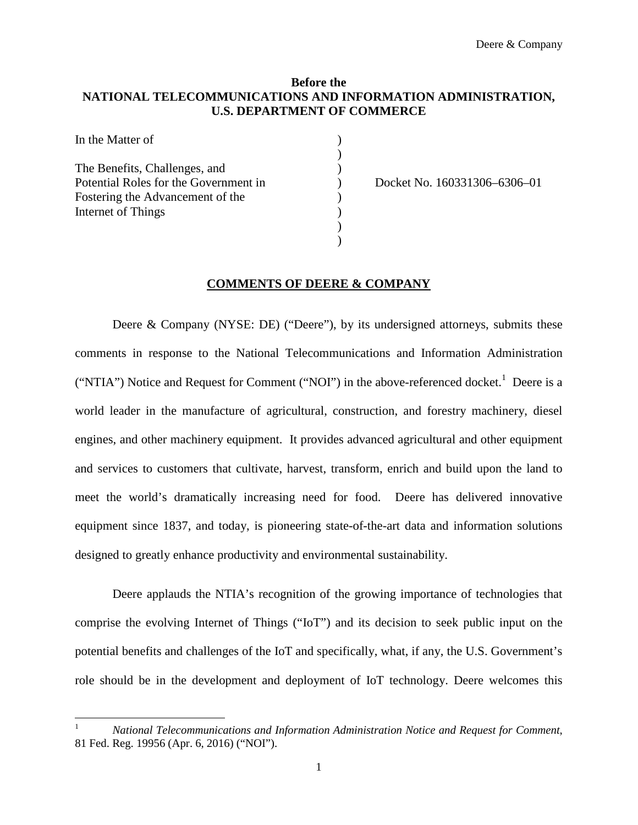### **Before the NATIONAL TELECOMMUNICATIONS AND INFORMATION ADMINISTRATION, U.S. DEPARTMENT OF COMMERCE**

| In the Matter of                      |  |
|---------------------------------------|--|
| The Benefits, Challenges, and         |  |
| Potential Roles for the Government in |  |
| Fostering the Advancement of the      |  |
| Internet of Things                    |  |
|                                       |  |
|                                       |  |

Docket No. 160331306–6306–01

#### **COMMENTS OF DEERE & COMPANY**

Deere & Company (NYSE: DE) ("Deere"), by its undersigned attorneys, submits these comments in response to the National Telecommunications and Information Administration ("NTIA") Notice and Request for Comment ("NOI") in the above-referenced docket.<sup>1</sup> Deere is a world leader in the manufacture of agricultural, construction, and forestry machinery, diesel engines, and other machinery equipment. It provides advanced agricultural and other equipment and services to customers that cultivate, harvest, transform, enrich and build upon the land to meet the world's dramatically increasing need for food. Deere has delivered innovative equipment since 1837, and today, is pioneering state-of-the-art data and information solutions designed to greatly enhance productivity and environmental sustainability.

Deere applauds the NTIA's recognition of the growing importance of technologies that comprise the evolving Internet of Things ("IoT") and its decision to seek public input on the potential benefits and challenges of the IoT and specifically, what, if any, the U.S. Government's role should be in the development and deployment of IoT technology. Deere welcomes this

<sup>1</sup> *National Telecommunications and Information Administration Notice and Request for Comment*, 81 Fed. Reg. 19956 (Apr. 6, 2016) ("NOI").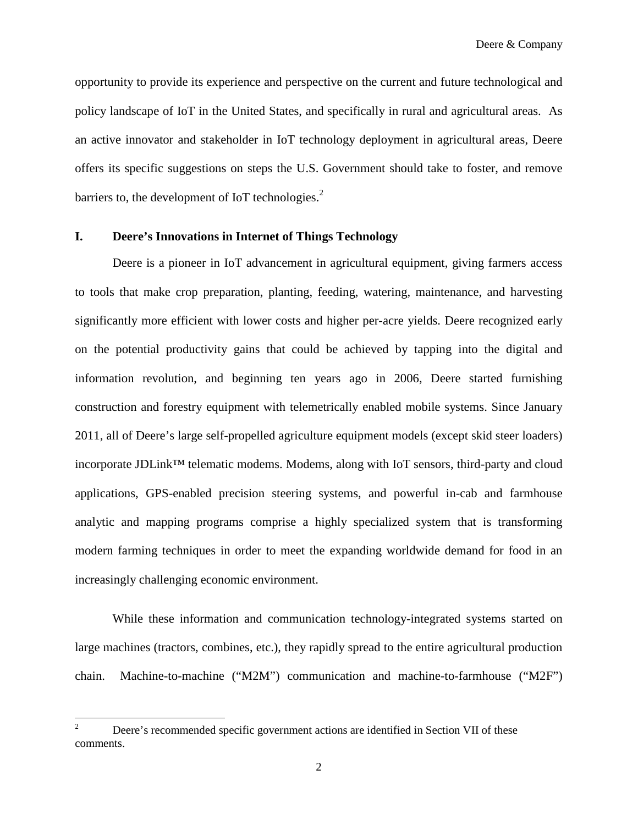opportunity to provide its experience and perspective on the current and future technological and policy landscape of IoT in the United States, and specifically in rural and agricultural areas. As an active innovator and stakeholder in IoT technology deployment in agricultural areas, Deere offers its specific suggestions on steps the U.S. Government should take to foster, and remove barriers to, the development of IoT technologies. $<sup>2</sup>$ </sup>

### **I. Deere's Innovations in Internet of Things Technology**

Deere is a pioneer in IoT advancement in agricultural equipment, giving farmers access to tools that make crop preparation, planting, feeding, watering, maintenance, and harvesting significantly more efficient with lower costs and higher per-acre yields. Deere recognized early on the potential productivity gains that could be achieved by tapping into the digital and information revolution, and beginning ten years ago in 2006, Deere started furnishing construction and forestry equipment with telemetrically enabled mobile systems. Since January 2011, all of Deere's large self-propelled agriculture equipment models (except skid steer loaders) incorporate JDLink™ telematic modems. Modems, along with IoT sensors, third-party and cloud applications, GPS-enabled precision steering systems, and powerful in-cab and farmhouse analytic and mapping programs comprise a highly specialized system that is transforming modern farming techniques in order to meet the expanding worldwide demand for food in an increasingly challenging economic environment.

While these information and communication technology-integrated systems started on large machines (tractors, combines, etc.), they rapidly spread to the entire agricultural production chain. Machine-to-machine ("M2M") communication and machine-to-farmhouse ("M2F")

<sup>&</sup>lt;sup>2</sup> Deere's recommended specific government actions are identified in Section VII of these comments.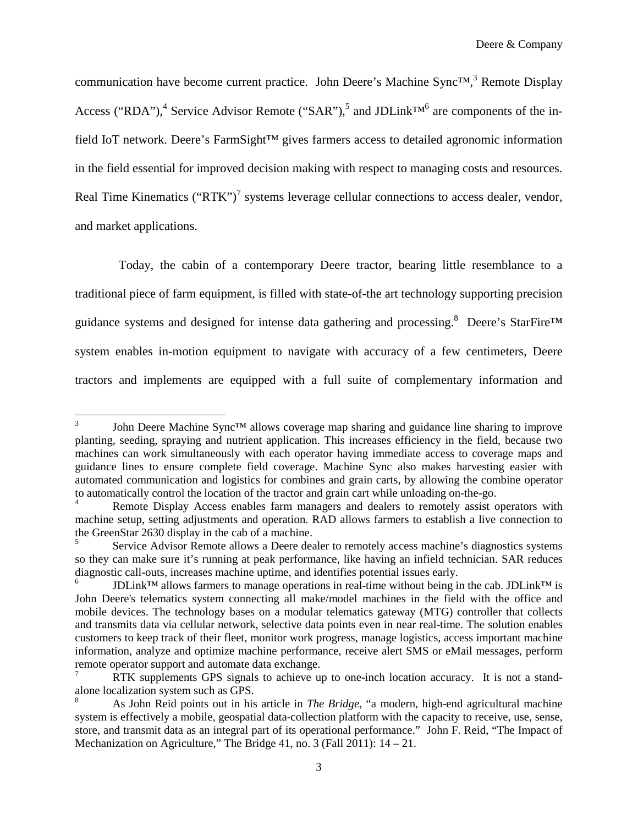communication have become current practice. John Deere's Machine Sync™,<sup>3</sup> Remote Display Access ("RDA"),<sup>4</sup> Service Advisor Remote ("SAR"),<sup>5</sup> and JDLink<sup>TM6</sup> are components of the infield IoT network. Deere's FarmSight™ gives farmers access to detailed agronomic information in the field essential for improved decision making with respect to managing costs and resources. Real Time Kinematics ("RTK")<sup>7</sup> systems leverage cellular connections to access dealer, vendor, and market applications.

Today, the cabin of a contemporary Deere tractor, bearing little resemblance to a traditional piece of farm equipment, is filled with state-of-the art technology supporting precision guidance systems and designed for intense data gathering and processing.<sup>8</sup> Deere's StarFire<sup>™</sup> system enables in-motion equipment to navigate with accuracy of a few centimeters, Deere tractors and implements are equipped with a full suite of complementary information and

<sup>3</sup> John Deere Machine Sync™ allows coverage map sharing and guidance line sharing to improve planting, seeding, spraying and nutrient application. This increases efficiency in the field, because two machines can work simultaneously with each operator having immediate access to coverage maps and guidance lines to ensure complete field coverage. Machine Sync also makes harvesting easier with automated communication and logistics for combines and grain carts, by allowing the combine operator to automatically control the location of the tractor and grain cart while unloading on-the-go.

Remote Display Access enables farm managers and dealers to remotely assist operators with machine setup, setting adjustments and operation. RAD allows farmers to establish a live connection to the GreenStar 2630 display in the cab of a machine.

<sup>5</sup> Service Advisor Remote allows a Deere dealer to remotely access machine's diagnostics systems so they can make sure it's running at peak performance, like having an infield technician. SAR reduces diagnostic call-outs, increases machine uptime, and identifies potential issues early.

<sup>6</sup> JDLink™ allows farmers to manage operations in real-time without being in the cab. JDLink™ is John Deere's telematics system connecting all make/model machines in the field with the office and mobile devices. The technology bases on a modular telematics gateway (MTG) controller that collects and transmits data via cellular network, selective data points even in near real-time. The solution enables customers to keep track of their fleet, monitor work progress, manage logistics, access important machine information, analyze and optimize machine performance, receive alert SMS or eMail messages, perform remote operator support and automate data exchange.

<sup>7</sup> RTK supplements GPS signals to achieve up to one-inch location accuracy. It is not a standalone localization system such as GPS.

<sup>8</sup> As John Reid points out in his article in *The Bridge*, "a modern, high-end agricultural machine system is effectively a mobile, geospatial data-collection platform with the capacity to receive, use, sense, store, and transmit data as an integral part of its operational performance." John F. Reid, "The Impact of Mechanization on Agriculture," The Bridge 41, no. 3 (Fall 2011): 14 – 21.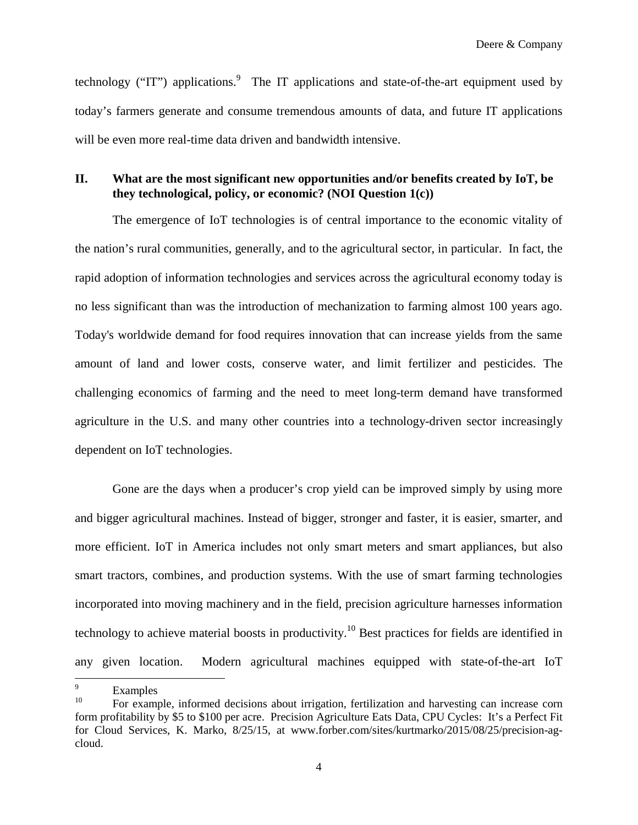Deere & Company

technology ("IT") applications.<sup>9</sup> The IT applications and state-of-the-art equipment used by today's farmers generate and consume tremendous amounts of data, and future IT applications will be even more real-time data driven and bandwidth intensive.

## **II. What are the most significant new opportunities and/or benefits created by IoT, be they technological, policy, or economic? (NOI Question 1(c))**

The emergence of IoT technologies is of central importance to the economic vitality of the nation's rural communities, generally, and to the agricultural sector, in particular. In fact, the rapid adoption of information technologies and services across the agricultural economy today is no less significant than was the introduction of mechanization to farming almost 100 years ago. Today's worldwide demand for food requires innovation that can increase yields from the same amount of land and lower costs, conserve water, and limit fertilizer and pesticides. The challenging economics of farming and the need to meet long-term demand have transformed agriculture in the U.S. and many other countries into a technology-driven sector increasingly dependent on IoT technologies.

Gone are the days when a producer's crop yield can be improved simply by using more and bigger agricultural machines. Instead of bigger, stronger and faster, it is easier, smarter, and more efficient. IoT in America includes not only smart meters and smart appliances, but also smart tractors, combines, and production systems. With the use of smart farming technologies incorporated into moving machinery and in the field, precision agriculture harnesses information technology to achieve material boosts in productivity.<sup>10</sup> Best practices for fields are identified in any given location. Modern agricultural machines equipped with state-of-the-art IoT

 $\frac{9}{10}$  Examples

<sup>10</sup> For example, informed decisions about irrigation, fertilization and harvesting can increase corn form profitability by \$5 to \$100 per acre. Precision Agriculture Eats Data, CPU Cycles: It's a Perfect Fit for Cloud Services, K. Marko, 8/25/15, at www.forber.com/sites/kurtmarko/2015/08/25/precision-agcloud.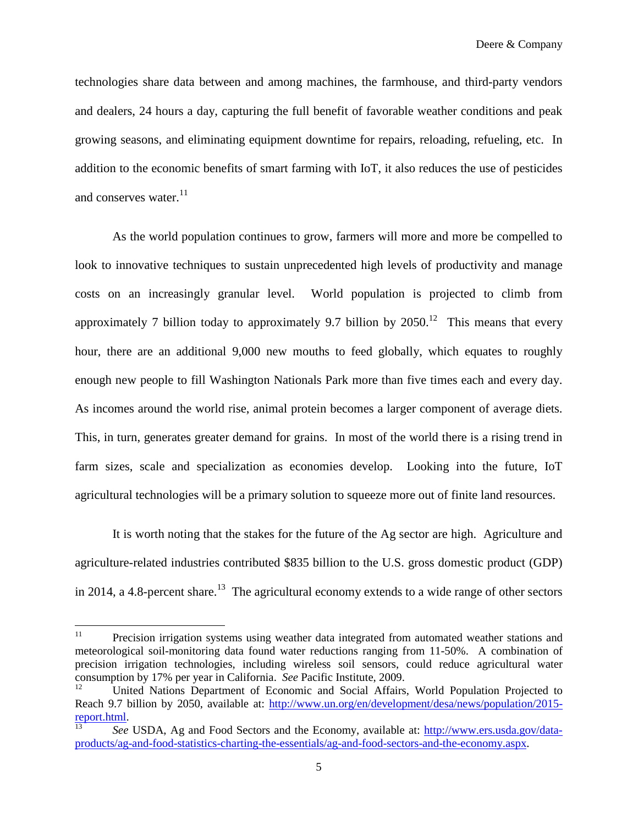technologies share data between and among machines, the farmhouse, and third-party vendors and dealers, 24 hours a day, capturing the full benefit of favorable weather conditions and peak growing seasons, and eliminating equipment downtime for repairs, reloading, refueling, etc. In addition to the economic benefits of smart farming with IoT, it also reduces the use of pesticides and conserves water. $^{11}$ 

As the world population continues to grow, farmers will more and more be compelled to look to innovative techniques to sustain unprecedented high levels of productivity and manage costs on an increasingly granular level. World population is projected to climb from approximately 7 billion today to approximately 9.7 billion by  $2050$ <sup>12</sup>. This means that every hour, there are an additional 9,000 new mouths to feed globally, which equates to roughly enough new people to fill Washington Nationals Park more than five times each and every day. As incomes around the world rise, animal protein becomes a larger component of average diets. This, in turn, generates greater demand for grains. In most of the world there is a rising trend in farm sizes, scale and specialization as economies develop. Looking into the future, IoT agricultural technologies will be a primary solution to squeeze more out of finite land resources.

It is worth noting that the stakes for the future of the Ag sector are high. Agriculture and agriculture-related industries contributed \$835 billion to the U.S. gross domestic product (GDP) in 2014, a 4.8-percent share.<sup>13</sup> The agricultural economy extends to a wide range of other sectors

<sup>&</sup>lt;sup>11</sup> Precision irrigation systems using weather data integrated from automated weather stations and meteorological soil-monitoring data found water reductions ranging from 11-50%. A combination of precision irrigation technologies, including wireless soil sensors, could reduce agricultural water consumption by 17% per year in California. *See* Pacific Institute, 2009.

<sup>12</sup> United Nations Department of Economic and Social Affairs, World Population Projected to Reach 9.7 billion by 2050, available at: http://www.un.org/en/development/desa/news/population/2015report.html.

<sup>13</sup> *See* USDA, Ag and Food Sectors and the Economy, available at: http://www.ers.usda.gov/dataproducts/ag-and-food-statistics-charting-the-essentials/ag-and-food-sectors-and-the-economy.aspx.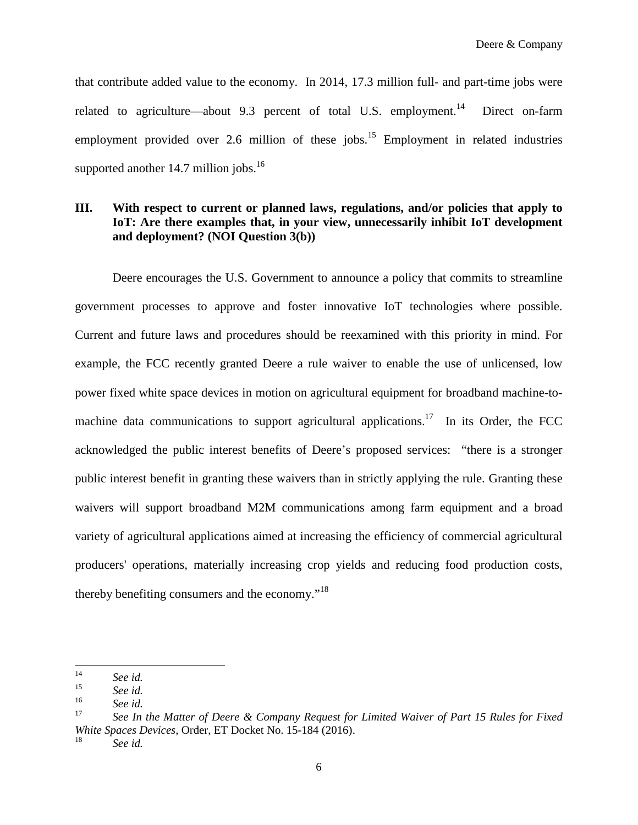that contribute added value to the economy. In 2014, 17.3 million full- and part-time jobs were related to agriculture—about 9.3 percent of total U.S. employment.<sup>14</sup> Direct on-farm employment provided over 2.6 million of these jobs. $15$  Employment in related industries supported another  $14.7$  million jobs.<sup>16</sup>

# **III. With respect to current or planned laws, regulations, and/or policies that apply to IoT: Are there examples that, in your view, unnecessarily inhibit IoT development and deployment? (NOI Question 3(b))**

Deere encourages the U.S. Government to announce a policy that commits to streamline government processes to approve and foster innovative IoT technologies where possible. Current and future laws and procedures should be reexamined with this priority in mind. For example, the FCC recently granted Deere a rule waiver to enable the use of unlicensed, low power fixed white space devices in motion on agricultural equipment for broadband machine-tomachine data communications to support agricultural applications.<sup>17</sup> In its Order, the FCC acknowledged the public interest benefits of Deere's proposed services: "there is a stronger public interest benefit in granting these waivers than in strictly applying the rule. Granting these waivers will support broadband M2M communications among farm equipment and a broad variety of agricultural applications aimed at increasing the efficiency of commercial agricultural producers' operations, materially increasing crop yields and reducing food production costs, thereby benefiting consumers and the economy."<sup>18</sup>

<sup>&</sup>lt;sup>14</sup> *See id.*<br><sup>15</sup> *See id.* 

 $\frac{15}{16}$  *See id.* 

 $\frac{16}{17}$  *See id.* 

<sup>17</sup> *See In the Matter of Deere & Company Request for Limited Waiver of Part 15 Rules for Fixed White Spaces Devices*, Order, ET Docket No. 15-184 (2016).

<sup>18</sup> *See id.*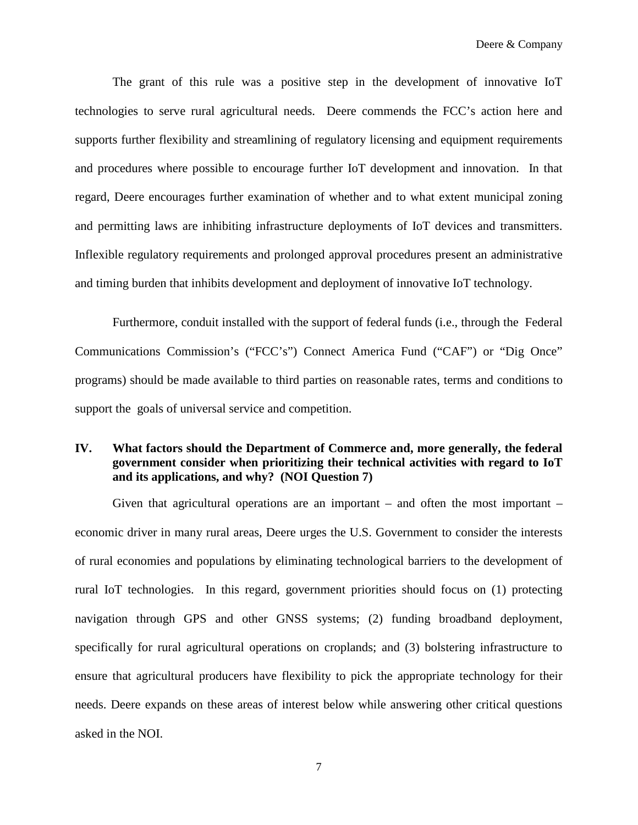The grant of this rule was a positive step in the development of innovative IoT technologies to serve rural agricultural needs. Deere commends the FCC's action here and supports further flexibility and streamlining of regulatory licensing and equipment requirements and procedures where possible to encourage further IoT development and innovation. In that regard, Deere encourages further examination of whether and to what extent municipal zoning and permitting laws are inhibiting infrastructure deployments of IoT devices and transmitters. Inflexible regulatory requirements and prolonged approval procedures present an administrative and timing burden that inhibits development and deployment of innovative IoT technology.

Furthermore, conduit installed with the support of federal funds (i.e., through the Federal Communications Commission's ("FCC's") Connect America Fund ("CAF") or "Dig Once" programs) should be made available to third parties on reasonable rates, terms and conditions to support the goals of universal service and competition.

## **IV. What factors should the Department of Commerce and, more generally, the federal government consider when prioritizing their technical activities with regard to IoT and its applications, and why? (NOI Question 7)**

Given that agricultural operations are an important  $-$  and often the most important  $$ economic driver in many rural areas, Deere urges the U.S. Government to consider the interests of rural economies and populations by eliminating technological barriers to the development of rural IoT technologies. In this regard, government priorities should focus on (1) protecting navigation through GPS and other GNSS systems; (2) funding broadband deployment, specifically for rural agricultural operations on croplands; and (3) bolstering infrastructure to ensure that agricultural producers have flexibility to pick the appropriate technology for their needs. Deere expands on these areas of interest below while answering other critical questions asked in the NOI.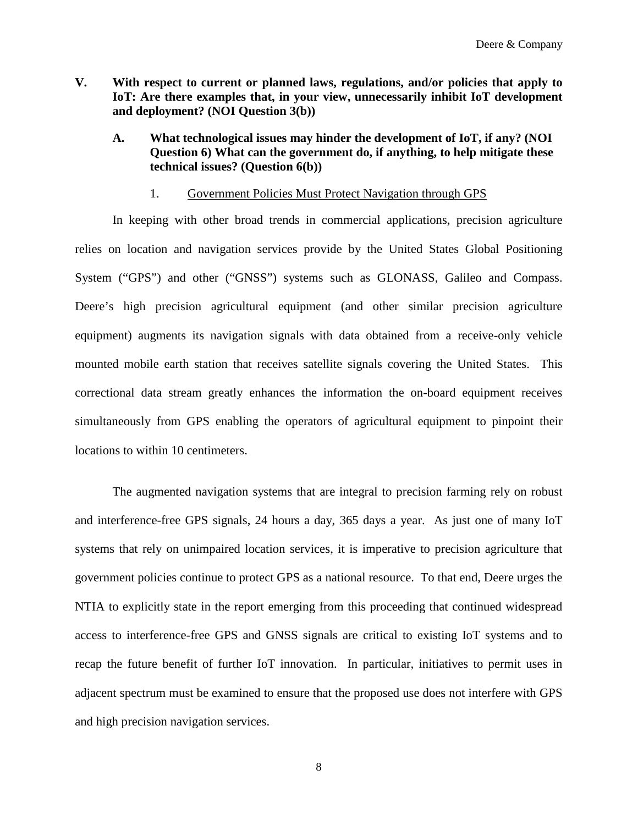- **V. With respect to current or planned laws, regulations, and/or policies that apply to IoT: Are there examples that, in your view, unnecessarily inhibit IoT development and deployment? (NOI Question 3(b))**
	- **A. What technological issues may hinder the development of IoT, if any? (NOI Question 6) What can the government do, if anything, to help mitigate these technical issues? (Question 6(b))**

#### 1. Government Policies Must Protect Navigation through GPS

In keeping with other broad trends in commercial applications, precision agriculture relies on location and navigation services provide by the United States Global Positioning System ("GPS") and other ("GNSS") systems such as GLONASS, Galileo and Compass. Deere's high precision agricultural equipment (and other similar precision agriculture equipment) augments its navigation signals with data obtained from a receive-only vehicle mounted mobile earth station that receives satellite signals covering the United States. This correctional data stream greatly enhances the information the on-board equipment receives simultaneously from GPS enabling the operators of agricultural equipment to pinpoint their locations to within 10 centimeters.

The augmented navigation systems that are integral to precision farming rely on robust and interference-free GPS signals, 24 hours a day, 365 days a year. As just one of many IoT systems that rely on unimpaired location services, it is imperative to precision agriculture that government policies continue to protect GPS as a national resource. To that end, Deere urges the NTIA to explicitly state in the report emerging from this proceeding that continued widespread access to interference-free GPS and GNSS signals are critical to existing IoT systems and to recap the future benefit of further IoT innovation. In particular, initiatives to permit uses in adjacent spectrum must be examined to ensure that the proposed use does not interfere with GPS and high precision navigation services.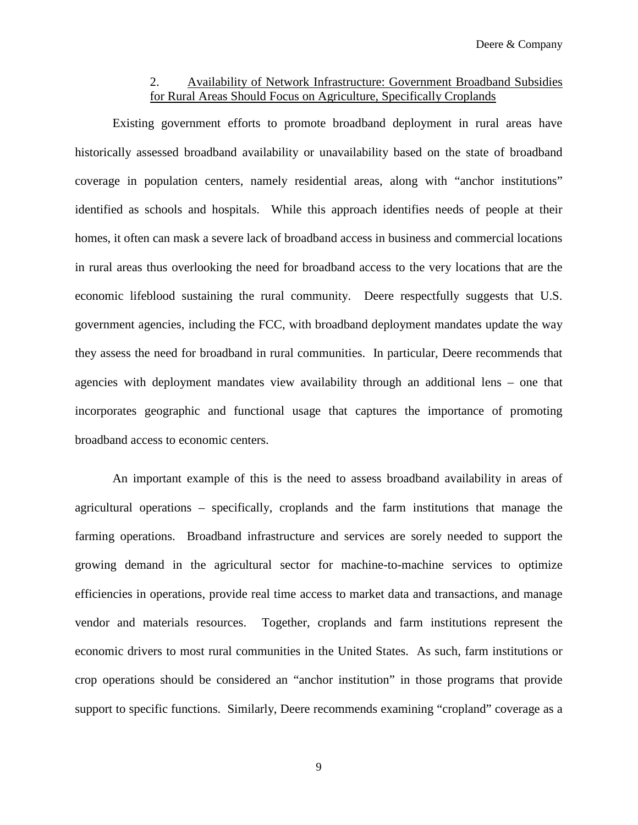## 2. Availability of Network Infrastructure: Government Broadband Subsidies for Rural Areas Should Focus on Agriculture, Specifically Croplands

Existing government efforts to promote broadband deployment in rural areas have historically assessed broadband availability or unavailability based on the state of broadband coverage in population centers, namely residential areas, along with "anchor institutions" identified as schools and hospitals. While this approach identifies needs of people at their homes, it often can mask a severe lack of broadband access in business and commercial locations in rural areas thus overlooking the need for broadband access to the very locations that are the economic lifeblood sustaining the rural community. Deere respectfully suggests that U.S. government agencies, including the FCC, with broadband deployment mandates update the way they assess the need for broadband in rural communities. In particular, Deere recommends that agencies with deployment mandates view availability through an additional lens – one that incorporates geographic and functional usage that captures the importance of promoting broadband access to economic centers.

An important example of this is the need to assess broadband availability in areas of agricultural operations – specifically, croplands and the farm institutions that manage the farming operations. Broadband infrastructure and services are sorely needed to support the growing demand in the agricultural sector for machine-to-machine services to optimize efficiencies in operations, provide real time access to market data and transactions, and manage vendor and materials resources. Together, croplands and farm institutions represent the economic drivers to most rural communities in the United States. As such, farm institutions or crop operations should be considered an "anchor institution" in those programs that provide support to specific functions. Similarly, Deere recommends examining "cropland" coverage as a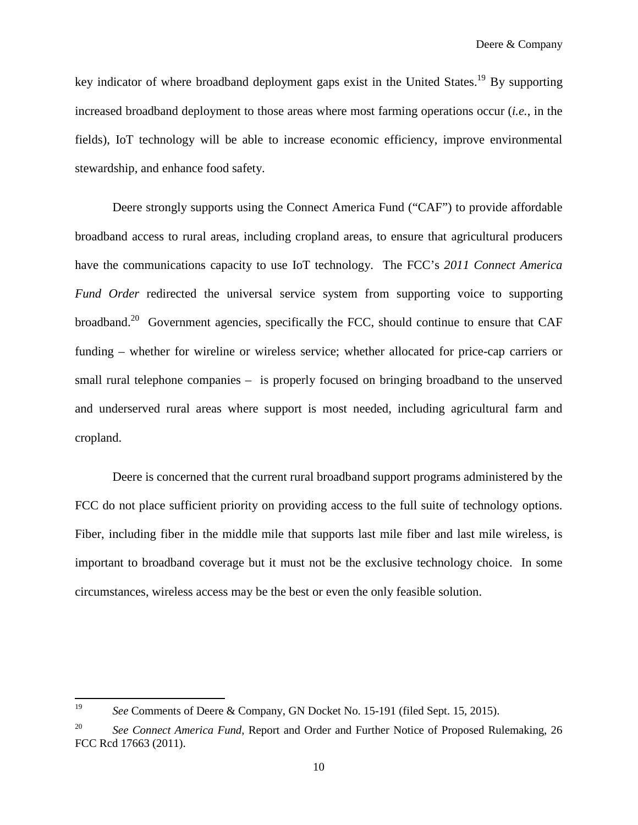key indicator of where broadband deployment gaps exist in the United States.<sup>19</sup> By supporting increased broadband deployment to those areas where most farming operations occur (*i.e.*, in the fields), IoT technology will be able to increase economic efficiency, improve environmental stewardship, and enhance food safety.

Deere strongly supports using the Connect America Fund ("CAF") to provide affordable broadband access to rural areas, including cropland areas, to ensure that agricultural producers have the communications capacity to use IoT technology. The FCC's *2011 Connect America Fund Order* redirected the universal service system from supporting voice to supporting broadband.<sup>20</sup> Government agencies, specifically the FCC, should continue to ensure that CAF funding – whether for wireline or wireless service; whether allocated for price-cap carriers or small rural telephone companies – is properly focused on bringing broadband to the unserved and underserved rural areas where support is most needed, including agricultural farm and cropland.

Deere is concerned that the current rural broadband support programs administered by the FCC do not place sufficient priority on providing access to the full suite of technology options. Fiber, including fiber in the middle mile that supports last mile fiber and last mile wireless, is important to broadband coverage but it must not be the exclusive technology choice. In some circumstances, wireless access may be the best or even the only feasible solution.

<sup>19</sup> *See* Comments of Deere & Company, GN Docket No. 15-191 (filed Sept. 15, 2015).

<sup>&</sup>lt;sup>20</sup> *See Connect America Fund*, Report and Order and Further Notice of Proposed Rulemaking, 26 FCC Rcd 17663 (2011).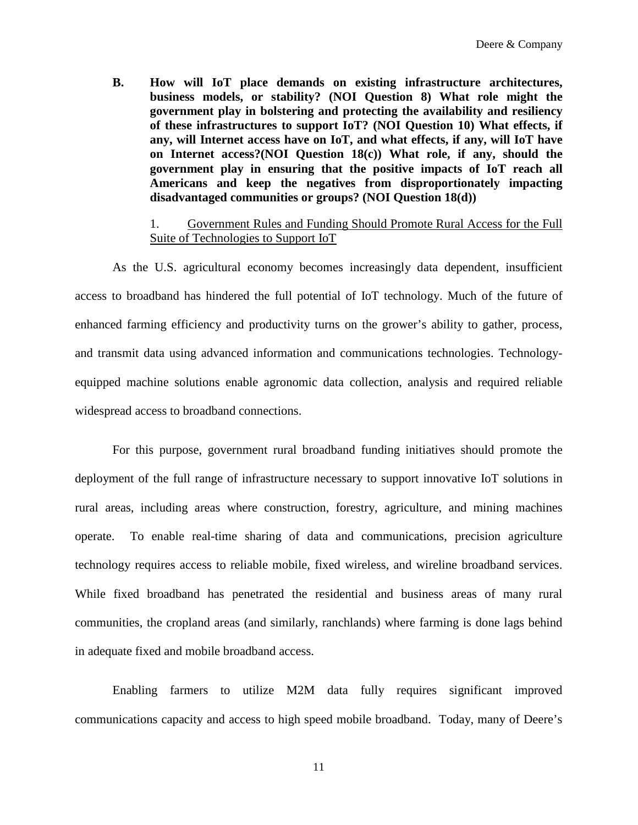**B. How will IoT place demands on existing infrastructure architectures, business models, or stability? (NOI Question 8) What role might the government play in bolstering and protecting the availability and resiliency of these infrastructures to support IoT? (NOI Question 10) What effects, if any, will Internet access have on IoT, and what effects, if any, will IoT have on Internet access?(NOI Question 18(c)) What role, if any, should the government play in ensuring that the positive impacts of IoT reach all Americans and keep the negatives from disproportionately impacting disadvantaged communities or groups? (NOI Question 18(d))**

### 1. Government Rules and Funding Should Promote Rural Access for the Full Suite of Technologies to Support IoT

As the U.S. agricultural economy becomes increasingly data dependent, insufficient access to broadband has hindered the full potential of IoT technology. Much of the future of enhanced farming efficiency and productivity turns on the grower's ability to gather, process, and transmit data using advanced information and communications technologies. Technologyequipped machine solutions enable agronomic data collection, analysis and required reliable widespread access to broadband connections.

For this purpose, government rural broadband funding initiatives should promote the deployment of the full range of infrastructure necessary to support innovative IoT solutions in rural areas, including areas where construction, forestry, agriculture, and mining machines operate. To enable real-time sharing of data and communications, precision agriculture technology requires access to reliable mobile, fixed wireless, and wireline broadband services. While fixed broadband has penetrated the residential and business areas of many rural communities, the cropland areas (and similarly, ranchlands) where farming is done lags behind in adequate fixed and mobile broadband access.

Enabling farmers to utilize M2M data fully requires significant improved communications capacity and access to high speed mobile broadband. Today, many of Deere's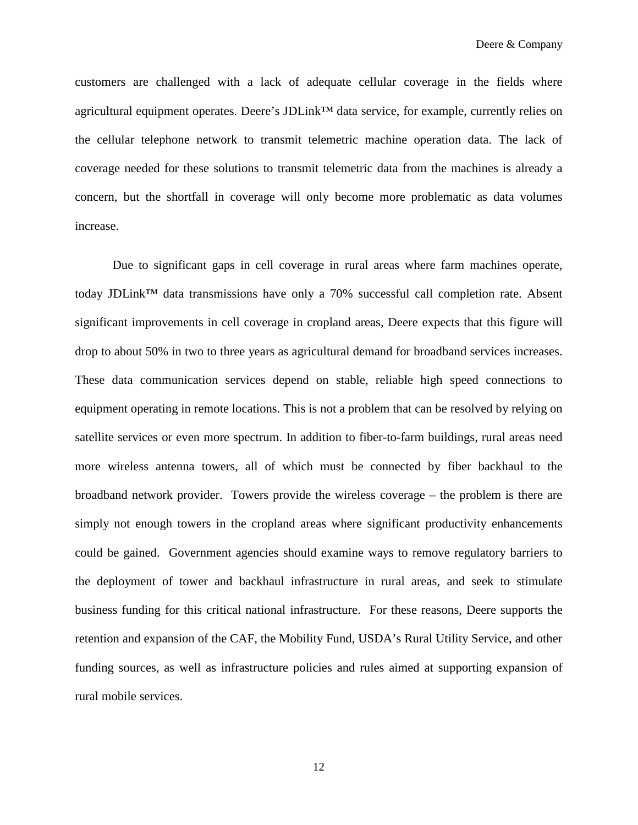customers are challenged with a lack of adequate cellular coverage in the fields where agricultural equipment operates. Deere's JDLink™ data service, for example, currently relies on the cellular telephone network to transmit telemetric machine operation data. The lack of coverage needed for these solutions to transmit telemetric data from the machines is already a concern, but the shortfall in coverage will only become more problematic as data volumes increase.

Due to significant gaps in cell coverage in rural areas where farm machines operate, today JDLink™ data transmissions have only a 70% successful call completion rate. Absent significant improvements in cell coverage in cropland areas, Deere expects that this figure will drop to about 50% in two to three years as agricultural demand for broadband services increases. These data communication services depend on stable, reliable high speed connections to equipment operating in remote locations. This is not a problem that can be resolved by relying on satellite services or even more spectrum. In addition to fiber-to-farm buildings, rural areas need more wireless antenna towers, all of which must be connected by fiber backhaul to the broadband network provider. Towers provide the wireless coverage – the problem is there are simply not enough towers in the cropland areas where significant productivity enhancements could be gained. Government agencies should examine ways to remove regulatory barriers to the deployment of tower and backhaul infrastructure in rural areas, and seek to stimulate business funding for this critical national infrastructure. For these reasons, Deere supports the retention and expansion of the CAF, the Mobility Fund, USDA's Rural Utility Service, and other funding sources, as well as infrastructure policies and rules aimed at supporting expansion of rural mobile services.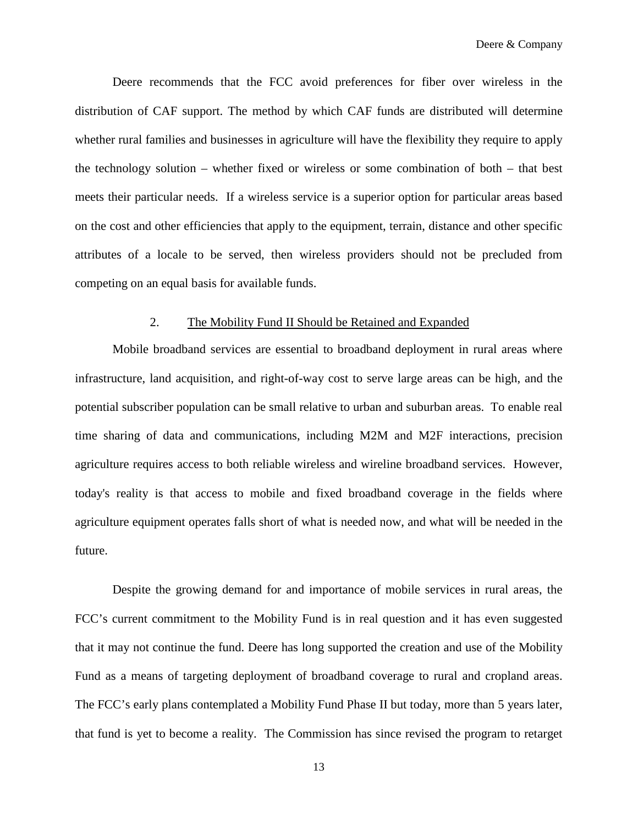Deere recommends that the FCC avoid preferences for fiber over wireless in the distribution of CAF support. The method by which CAF funds are distributed will determine whether rural families and businesses in agriculture will have the flexibility they require to apply the technology solution – whether fixed or wireless or some combination of both – that best meets their particular needs. If a wireless service is a superior option for particular areas based on the cost and other efficiencies that apply to the equipment, terrain, distance and other specific attributes of a locale to be served, then wireless providers should not be precluded from competing on an equal basis for available funds.

#### 2. The Mobility Fund II Should be Retained and Expanded

Mobile broadband services are essential to broadband deployment in rural areas where infrastructure, land acquisition, and right-of-way cost to serve large areas can be high, and the potential subscriber population can be small relative to urban and suburban areas. To enable real time sharing of data and communications, including M2M and M2F interactions, precision agriculture requires access to both reliable wireless and wireline broadband services. However, today's reality is that access to mobile and fixed broadband coverage in the fields where agriculture equipment operates falls short of what is needed now, and what will be needed in the future.

Despite the growing demand for and importance of mobile services in rural areas, the FCC's current commitment to the Mobility Fund is in real question and it has even suggested that it may not continue the fund. Deere has long supported the creation and use of the Mobility Fund as a means of targeting deployment of broadband coverage to rural and cropland areas. The FCC's early plans contemplated a Mobility Fund Phase II but today, more than 5 years later, that fund is yet to become a reality. The Commission has since revised the program to retarget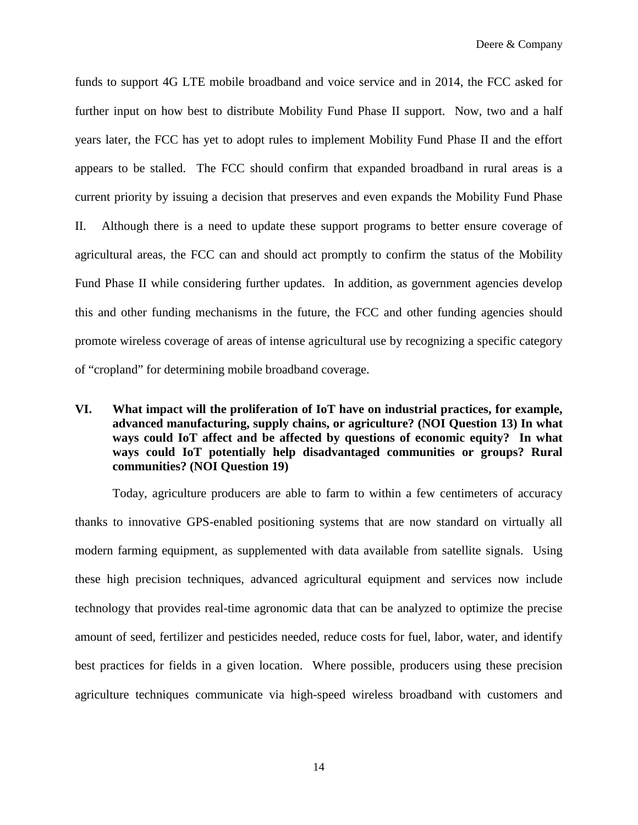funds to support 4G LTE mobile broadband and voice service and in 2014, the FCC asked for further input on how best to distribute Mobility Fund Phase II support. Now, two and a half years later, the FCC has yet to adopt rules to implement Mobility Fund Phase II and the effort appears to be stalled. The FCC should confirm that expanded broadband in rural areas is a current priority by issuing a decision that preserves and even expands the Mobility Fund Phase II. Although there is a need to update these support programs to better ensure coverage of agricultural areas, the FCC can and should act promptly to confirm the status of the Mobility Fund Phase II while considering further updates. In addition, as government agencies develop this and other funding mechanisms in the future, the FCC and other funding agencies should promote wireless coverage of areas of intense agricultural use by recognizing a specific category of "cropland" for determining mobile broadband coverage.

### **VI. What impact will the proliferation of IoT have on industrial practices, for example, advanced manufacturing, supply chains, or agriculture? (NOI Question 13) In what ways could IoT affect and be affected by questions of economic equity? In what ways could IoT potentially help disadvantaged communities or groups? Rural communities? (NOI Question 19)**

Today, agriculture producers are able to farm to within a few centimeters of accuracy thanks to innovative GPS-enabled positioning systems that are now standard on virtually all modern farming equipment, as supplemented with data available from satellite signals. Using these high precision techniques, advanced agricultural equipment and services now include technology that provides real-time agronomic data that can be analyzed to optimize the precise amount of seed, fertilizer and pesticides needed, reduce costs for fuel, labor, water, and identify best practices for fields in a given location. Where possible, producers using these precision agriculture techniques communicate via high-speed wireless broadband with customers and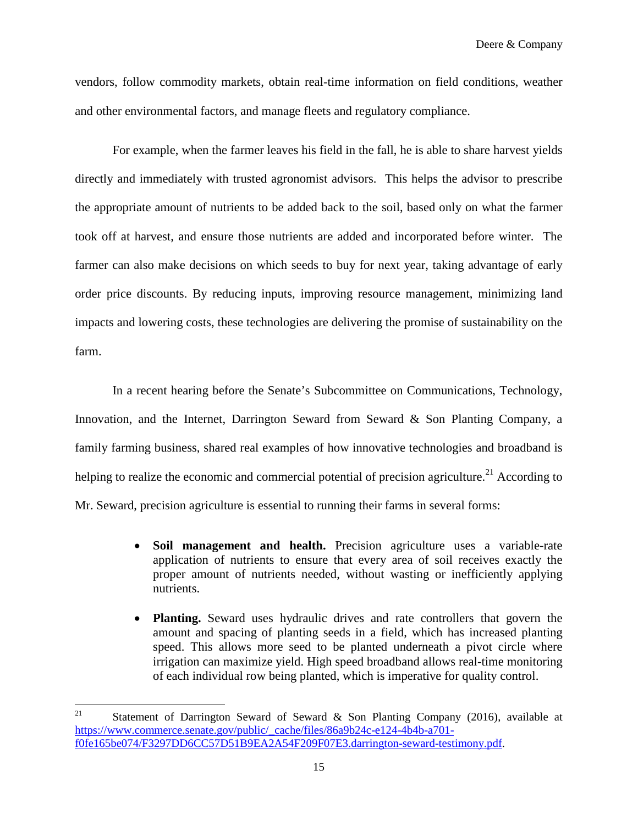Deere & Company

vendors, follow commodity markets, obtain real-time information on field conditions, weather and other environmental factors, and manage fleets and regulatory compliance.

For example, when the farmer leaves his field in the fall, he is able to share harvest yields directly and immediately with trusted agronomist advisors. This helps the advisor to prescribe the appropriate amount of nutrients to be added back to the soil, based only on what the farmer took off at harvest, and ensure those nutrients are added and incorporated before winter. The farmer can also make decisions on which seeds to buy for next year, taking advantage of early order price discounts. By reducing inputs, improving resource management, minimizing land impacts and lowering costs, these technologies are delivering the promise of sustainability on the farm.

In a recent hearing before the Senate's Subcommittee on Communications, Technology, Innovation, and the Internet, Darrington Seward from Seward & Son Planting Company, a family farming business, shared real examples of how innovative technologies and broadband is helping to realize the economic and commercial potential of precision agriculture.<sup>21</sup> According to Mr. Seward, precision agriculture is essential to running their farms in several forms:

- **Soil management and health.** Precision agriculture uses a variable-rate application of nutrients to ensure that every area of soil receives exactly the proper amount of nutrients needed, without wasting or inefficiently applying nutrients.
- **Planting.** Seward uses hydraulic drives and rate controllers that govern the amount and spacing of planting seeds in a field, which has increased planting speed. This allows more seed to be planted underneath a pivot circle where irrigation can maximize yield. High speed broadband allows real-time monitoring of each individual row being planted, which is imperative for quality control.

<sup>&</sup>lt;sup>21</sup> Statement of Darrington Seward of Seward & Son Planting Company (2016), available at https://www.commerce.senate.gov/public/\_cache/files/86a9b24c-e124-4b4b-a701 f0fe165be074/F3297DD6CC57D51B9EA2A54F209F07E3.darrington-seward-testimony.pdf.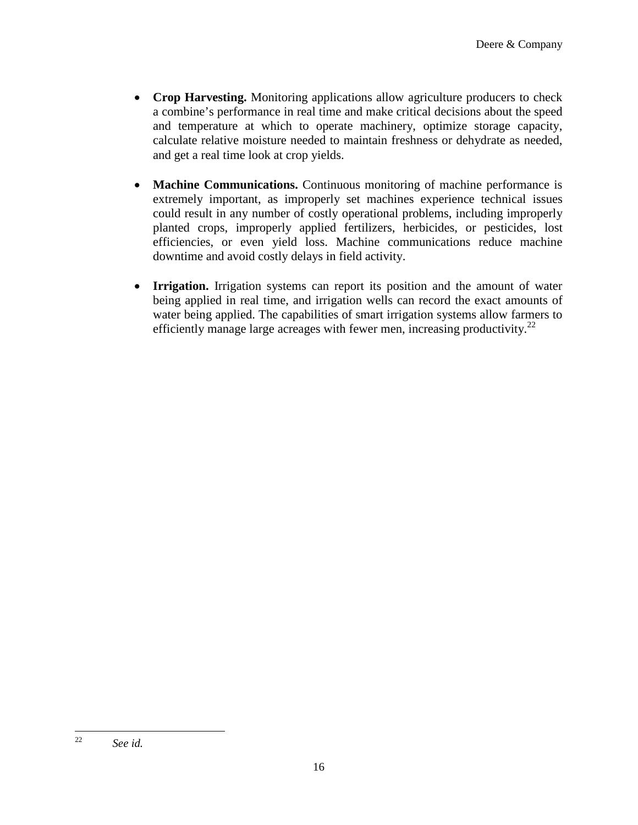- **Crop Harvesting.** Monitoring applications allow agriculture producers to check a combine's performance in real time and make critical decisions about the speed and temperature at which to operate machinery, optimize storage capacity, calculate relative moisture needed to maintain freshness or dehydrate as needed, and get a real time look at crop yields.
- **Machine Communications.** Continuous monitoring of machine performance is extremely important, as improperly set machines experience technical issues could result in any number of costly operational problems, including improperly planted crops, improperly applied fertilizers, herbicides, or pesticides, lost efficiencies, or even yield loss. Machine communications reduce machine downtime and avoid costly delays in field activity.
- **Irrigation.** Irrigation systems can report its position and the amount of water being applied in real time, and irrigation wells can record the exact amounts of water being applied. The capabilities of smart irrigation systems allow farmers to efficiently manage large acreages with fewer men, increasing productivity.<sup>22</sup>

<sup>22</sup> *See id.*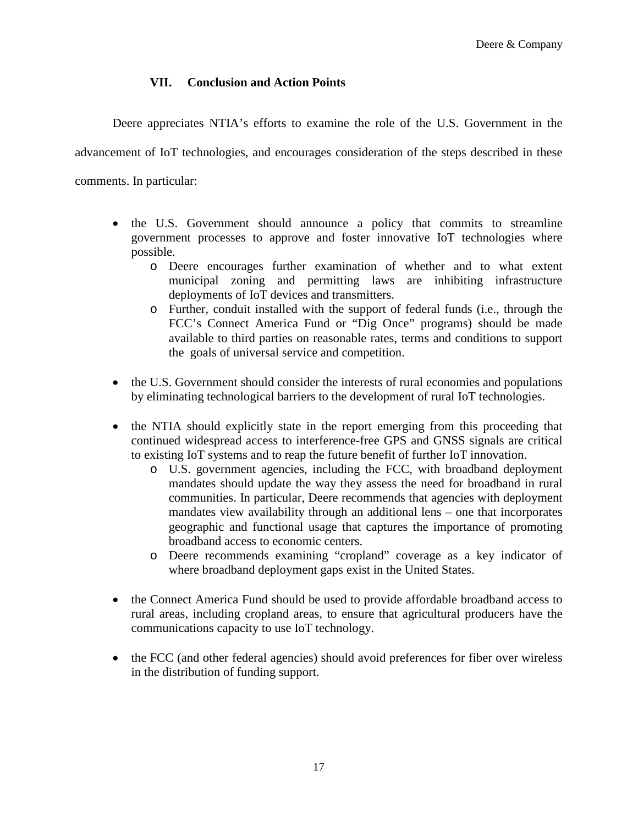# **VII. Conclusion and Action Points**

Deere appreciates NTIA's efforts to examine the role of the U.S. Government in the

advancement of IoT technologies, and encourages consideration of the steps described in these

comments. In particular:

- the U.S. Government should announce a policy that commits to streamline government processes to approve and foster innovative IoT technologies where possible.
	- o Deere encourages further examination of whether and to what extent municipal zoning and permitting laws are inhibiting infrastructure deployments of IoT devices and transmitters.
	- o Further, conduit installed with the support of federal funds (i.e., through the FCC's Connect America Fund or "Dig Once" programs) should be made available to third parties on reasonable rates, terms and conditions to support the goals of universal service and competition.
- the U.S. Government should consider the interests of rural economies and populations by eliminating technological barriers to the development of rural IoT technologies.
- the NTIA should explicitly state in the report emerging from this proceeding that continued widespread access to interference-free GPS and GNSS signals are critical to existing IoT systems and to reap the future benefit of further IoT innovation.
	- o U.S. government agencies, including the FCC, with broadband deployment mandates should update the way they assess the need for broadband in rural communities. In particular, Deere recommends that agencies with deployment mandates view availability through an additional lens – one that incorporates geographic and functional usage that captures the importance of promoting broadband access to economic centers.
	- o Deere recommends examining "cropland" coverage as a key indicator of where broadband deployment gaps exist in the United States.
- the Connect America Fund should be used to provide affordable broadband access to rural areas, including cropland areas, to ensure that agricultural producers have the communications capacity to use IoT technology.
- the FCC (and other federal agencies) should avoid preferences for fiber over wireless in the distribution of funding support.